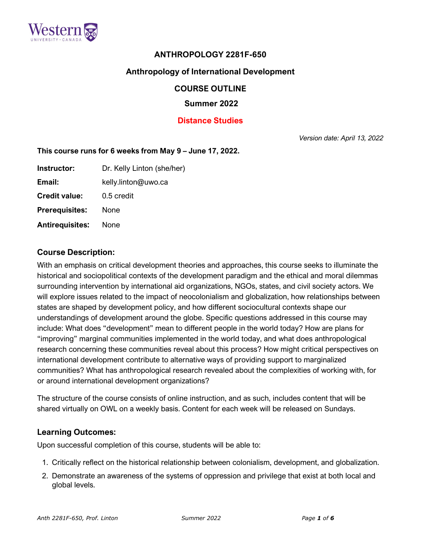

# **ANTHROPOLOGY 2281F-650**

# **Anthropology of International Development**

#### **COURSE OUTLINE**

#### **Summer 2022**

### **Distance Studies**

*Version date: April 13, 2022*

#### **This course runs for 6 weeks from May 9 – June 17, 2022.**

| Instructor:            | Dr. Kelly Linton (she/her) |
|------------------------|----------------------------|
| Email:                 | kelly.linton@uwo.ca        |
| <b>Credit value:</b>   | 0.5 credit                 |
| <b>Prerequisites:</b>  | None                       |
| <b>Antirequisites:</b> | None                       |

#### **Course Description:**

With an emphasis on critical development theories and approaches, this course seeks to illuminate the historical and sociopolitical contexts of the development paradigm and the ethical and moral dilemmas surrounding intervention by international aid organizations, NGOs, states, and civil society actors. We will explore issues related to the impact of neocolonialism and globalization, how relationships between states are shaped by development policy, and how different sociocultural contexts shape our understandings of development around the globe. Specific questions addressed in this course may include: What does "development" mean to different people in the world today? How are plans for "improving" marginal communities implemented in the world today, and what does anthropological research concerning these communities reveal about this process? How might critical perspectives on international development contribute to alternative ways of providing support to marginalized communities? What has anthropological research revealed about the complexities of working with, for or around international development organizations?

The structure of the course consists of online instruction, and as such, includes content that will be shared virtually on OWL on a weekly basis. Content for each week will be released on Sundays.

#### **Learning Outcomes:**

Upon successful completion of this course, students will be able to:

- 1. Critically reflect on the historical relationship between colonialism, development, and globalization.
- 2. Demonstrate an awareness of the systems of oppression and privilege that exist at both local and global levels.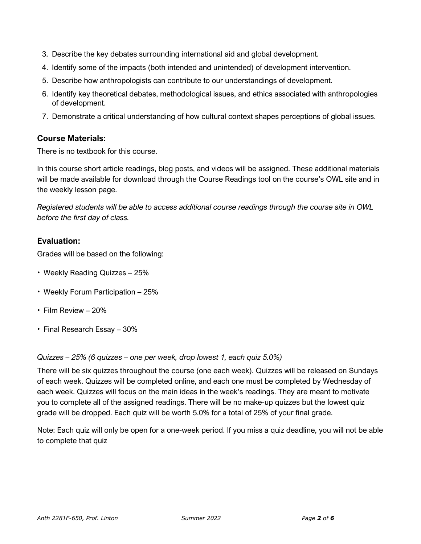- 3. Describe the key debates surrounding international aid and global development.
- 4. Identify some of the impacts (both intended and unintended) of development intervention.
- 5. Describe how anthropologists can contribute to our understandings of development.
- 6. Identify key theoretical debates, methodological issues, and ethics associated with anthropologies of development.
- 7. Demonstrate a critical understanding of how cultural context shapes perceptions of global issues.

#### **Course Materials:**

There is no textbook for this course.

In this course short article readings, blog posts, and videos will be assigned. These additional materials will be made available for download through the Course Readings tool on the course's OWL site and in the weekly lesson page.

*Registered students will be able to access additional course readings through the course site in OWL before the first day of class.*

#### **Evaluation:**

Grades will be based on the following:

- Weekly Reading Quizzes 25%
- Weekly Forum Participation 25%
- Film Review 20%
- Final Research Essay 30%

#### *Quizzes – 25% (6 quizzes – one per week, drop lowest 1, each quiz 5.0%)*

There will be six quizzes throughout the course (one each week). Quizzes will be released on Sundays of each week. Quizzes will be completed online, and each one must be completed by Wednesday of each week. Quizzes will focus on the main ideas in the week's readings. They are meant to motivate you to complete all of the assigned readings. There will be no make-up quizzes but the lowest quiz grade will be dropped. Each quiz will be worth 5.0% for a total of 25% of your final grade.

Note: Each quiz will only be open for a one-week period. If you miss a quiz deadline, you will not be able to complete that quiz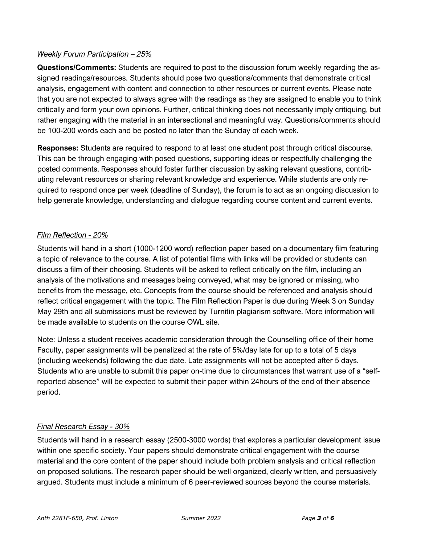### *Weekly Forum Participation – 25%*

**Questions/Comments:** Students are required to post to the discussion forum weekly regarding the assigned readings/resources. Students should pose two questions/comments that demonstrate critical analysis, engagement with content and connection to other resources or current events. Please note that you are not expected to always agree with the readings as they are assigned to enable you to think critically and form your own opinions. Further, critical thinking does not necessarily imply critiquing, but rather engaging with the material in an intersectional and meaningful way. Questions/comments should be 100-200 words each and be posted no later than the Sunday of each week.

**Responses:** Students are required to respond to at least one student post through critical discourse. This can be through engaging with posed questions, supporting ideas or respectfully challenging the posted comments. Responses should foster further discussion by asking relevant questions, contributing relevant resources or sharing relevant knowledge and experience. While students are only required to respond once per week (deadline of Sunday), the forum is to act as an ongoing discussion to help generate knowledge, understanding and dialogue regarding course content and current events.

### *Film Reflection - 20%*

Students will hand in a short (1000-1200 word) reflection paper based on a documentary film featuring a topic of relevance to the course. A list of potential films with links will be provided or students can discuss a film of their choosing. Students will be asked to reflect critically on the film, including an analysis of the motivations and messages being conveyed, what may be ignored or missing, who benefits from the message, etc. Concepts from the course should be referenced and analysis should reflect critical engagement with the topic. The Film Reflection Paper is due during Week 3 on Sunday May 29th and all submissions must be reviewed by Turnitin plagiarism software. More information will be made available to students on the course OWL site.

Note: Unless a student receives academic consideration through the Counselling office of their home Faculty, paper assignments will be penalized at the rate of 5%/day late for up to a total of 5 days (including weekends) following the due date. Late assignments will not be accepted after 5 days. Students who are unable to submit this paper on-time due to circumstances that warrant use of a "selfreported absence" will be expected to submit their paper within 24hours of the end of their absence period.

# *Final Research Essay - 30%*

Students will hand in a research essay (2500-3000 words) that explores a particular development issue within one specific society. Your papers should demonstrate critical engagement with the course material and the core content of the paper should include both problem analysis and critical reflection on proposed solutions. The research paper should be well organized, clearly written, and persuasively argued. Students must include a minimum of 6 peer-reviewed sources beyond the course materials.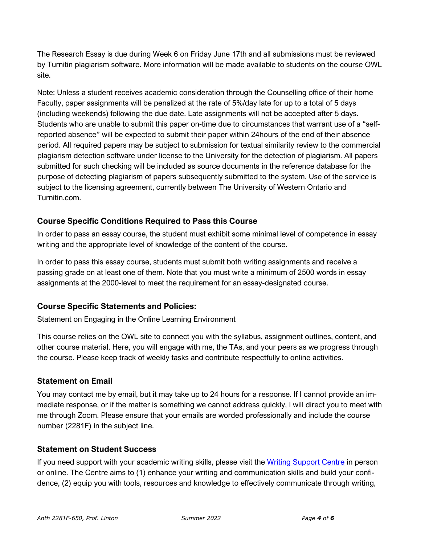The Research Essay is due during Week 6 on Friday June 17th and all submissions must be reviewed by Turnitin plagiarism software. More information will be made available to students on the course OWL site.

Note: Unless a student receives academic consideration through the Counselling office of their home Faculty, paper assignments will be penalized at the rate of 5%/day late for up to a total of 5 days (including weekends) following the due date. Late assignments will not be accepted after 5 days. Students who are unable to submit this paper on-time due to circumstances that warrant use of a "selfreported absence" will be expected to submit their paper within 24hours of the end of their absence period. All required papers may be subject to submission for textual similarity review to the commercial plagiarism detection software under license to the University for the detection of plagiarism. All papers submitted for such checking will be included as source documents in the reference database for the purpose of detecting plagiarism of papers subsequently submitted to the system. Use of the service is subject to the licensing agreement, currently between The University of Western Ontario and Turnitin.com.

# **Course Specific Conditions Required to Pass this Course**

In order to pass an essay course, the student must exhibit some minimal level of competence in essay writing and the appropriate level of knowledge of the content of the course.

In order to pass this essay course, students must submit both writing assignments and receive a passing grade on at least one of them. Note that you must write a minimum of 2500 words in essay assignments at the 2000-level to meet the requirement for an essay-designated course.

# **Course Specific Statements and Policies:**

Statement on Engaging in the Online Learning Environment

This course relies on the OWL site to connect you with the syllabus, assignment outlines, content, and other course material. Here, you will engage with me, the TAs, and your peers as we progress through the course. Please keep track of weekly tasks and contribute respectfully to online activities.

# **Statement on Email**

You may contact me by email, but it may take up to 24 hours for a response. If I cannot provide an immediate response, or if the matter is something we cannot address quickly, I will direct you to meet with me through Zoom. Please ensure that your emails are worded professionally and include the course number (2281F) in the subject line.

# **Statement on Student Success**

If you need support with your academic writing skills, please visit the Writing [Support](http://www.sdc.uwo.ca/writing/) Centre in person or online. The Centre aims to (1) enhance your writing and communication skills and build your confidence, (2) equip you with tools, resources and knowledge to effectively communicate through writing,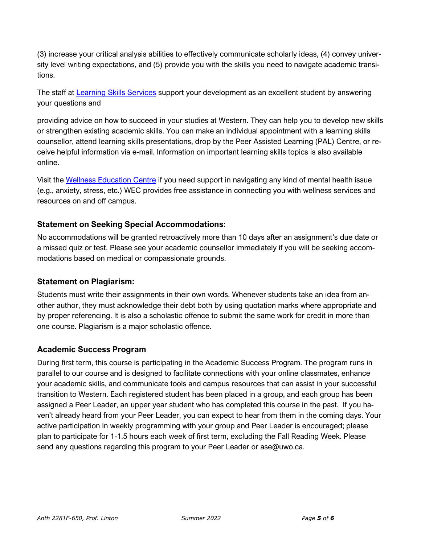(3) increase your critical analysis abilities to effectively communicate scholarly ideas, (4) convey university level writing expectations, and (5) provide you with the skills you need to navigate academic transitions.

The staff at [Learning](http://www.sdc.uwo.ca/learning/) Skills Services support your development as an excellent student by answering your questions and

providing advice on how to succeed in your studies at Western. They can help you to develop new skills or strengthen existing academic skills. You can make an individual appointment with a learning skills counsellor, attend learning skills presentations, drop by the Peer Assisted Learning (PAL) Centre, or receive helpful information via e-mail. Information on important learning skills topics is also available online.

Visit the Wellness [Education](http://wec.uwo.ca/) Centre if you need support in navigating any kind of mental health issue (e.g., anxiety, stress, etc.) WEC provides free assistance in connecting you with wellness services and resources on and off campus.

# **Statement on Seeking Special Accommodations:**

No accommodations will be granted retroactively more than 10 days after an assignment's due date or a missed quiz or test. Please see your academic counsellor immediately if you will be seeking accommodations based on medical or compassionate grounds.

#### **Statement on Plagiarism:**

Students must write their assignments in their own words. Whenever students take an idea from another author, they must acknowledge their debt both by using quotation marks where appropriate and by proper referencing. It is also a scholastic offence to submit the same work for credit in more than one course. Plagiarism is a major scholastic offence.

# **Academic Success Program**

During first term, this course is participating in the Academic Success Program. The program runs in parallel to our course and is designed to facilitate connections with your online classmates, enhance your academic skills, and communicate tools and campus resources that can assist in your successful transition to Western. Each registered student has been placed in a group, and each group has been assigned a Peer Leader, an upper year student who has completed this course in the past. If you haven't already heard from your Peer Leader, you can expect to hear from them in the coming days. Your active participation in weekly programming with your group and Peer Leader is encouraged; please plan to participate for 1-1.5 hours each week of first term, excluding the Fall Reading Week. Please send any questions regarding this program to your Peer Leader or ase@uwo.ca.